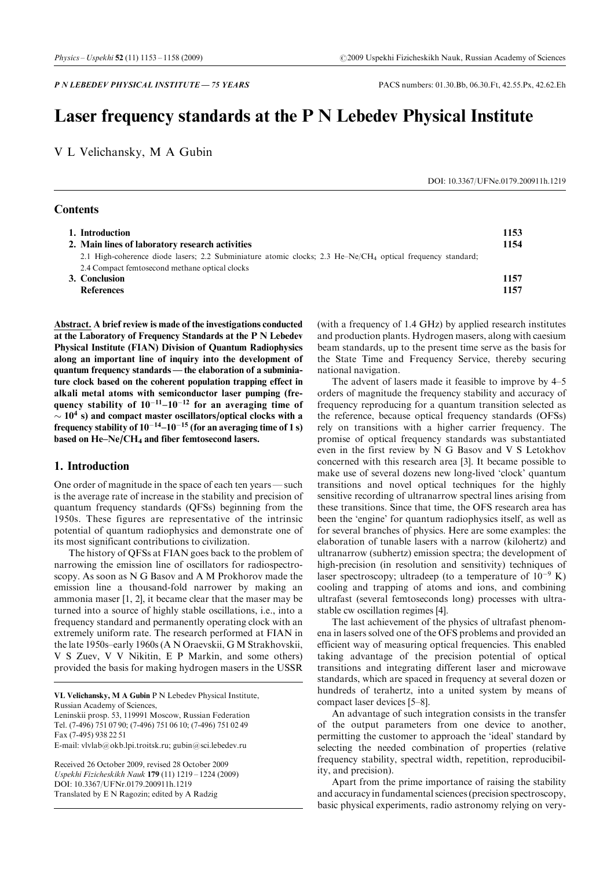# Laser frequency standards at the P N Lebedev Physical Institute

V L Velichansky, M A Gubin

DOI: 10.3367/UFNe.0179.200911h.1219

| 1. Introduction<br>2. Main lines of laboratory research activities                                                     | 1153<br>1154 |
|------------------------------------------------------------------------------------------------------------------------|--------------|
| 2.1 High-coherence diode lasers; 2.2 Subminiature atomic clocks; 2.3 He–Ne/CH <sub>4</sub> optical frequency standard; |              |
| 2.4 Compact femtosecond methane optical clocks                                                                         |              |
| 3. Conclusion                                                                                                          | 1157         |
| <b>References</b>                                                                                                      | 1157         |

Abstract. A brief review is made of the investigations conducted at the Laboratory of Frequency Standards at the P N Lebedev Physical Institute (FIAN) Division of Quantum Radiophysics along an important line of inquiry into the development of quantum frequency standards – the elaboration of a subminiature clock based on the coherent population trapping effect in alkali metal atoms with semiconductor laser pumping (frequency stability of  $10^{-11}-10^{-12}$  for an averaging time of  $\sim 10^4$  s) and compact master oscillators/optical clocks with a frequency stability of  $10^{-14}$  $-10^{-15}$  (for an averaging time of 1 s) based on  $He$ -Ne/CH<sub>4</sub> and fiber femtosecond lasers.

# 1. Introduction

**Contents** 

One order of magnitude in the space of each ten years—such is the average rate of increase in the stability and precision of quantum frequency standards (QFSs) beginning from the 1950s. These figures are representative of the intrinsic potential of quantum radiophysics and demonstrate one of its most significant contributions to civilization.

The history of QFSs at FIAN goes back to the problem of narrowing the emission line of oscillators for radiospectroscopy. As soon as N G Basov and A M Prokhorov made the emission line a thousand-fold narrower by making an ammonia maser [1, 2], it became clear that the maser may be turned into a source of highly stable oscillations, i.e., into a frequency standard and permanently operating clock with an extremely uniform rate. The research performed at FIAN in the late 1950s-early 1960s (A N Oraevskii, G M Strakhovskii, V S Zuev, V V Nikitin, E P Markin, and some others) provided the basis for making hydrogen masers in the USSR

VL Velichansky, M A Gubin P N Lebedev Physical Institute,

Russian Academy of Sciences,

Leninskii prosp. 53, 119991 Moscow, Russian Federation Tel. (7-496) 751 07 90; (7-496) 751 06 10; (7-496) 751 02 49 Fax (7-495) 938 22 51

E-mail: vlvlab@okb.lpi.troitsk.ru; gubin@sci.lebedev.ru

Received 26 October 2009, revised 28 October 2009 Uspekhi Fizicheskikh Nauk 179 (11)  $1219 - 1224$  (2009) DOI: 10.3367/UFNr.0179.200911h.1219 Translated by E N Ragozin; edited by A Radzig

(with a frequency of 1.4 GHz) by applied research institutes and production plants. Hydrogen masers, along with caesium beam standards, up to the present time serve as the basis for the State Time and Frequency Service, thereby securing national navigation.

The advent of lasers made it feasible to improve by  $4-5$ orders of magnitude the frequency stability and accuracy of frequency reproducing for a quantum transition selected as the reference, because optical frequency standards (OFSs) rely on transitions with a higher carrier frequency. The promise of optical frequency standards was substantiated even in the first review by N G Basov and V S Letokhov concerned with this research area [3]. It became possible to make use of several dozens new long-lived `clock' quantum transitions and novel optical techniques for the highly sensitive recording of ultranarrow spectral lines arising from these transitions. Since that time, the OFS research area has been the 'engine' for quantum radiophysics itself, as well as for several branches of physics. Here are some examples: the elaboration of tunable lasers with a narrow (kilohertz) and ultranarrow (subhertz) emission spectra; the development of high-precision (in resolution and sensitivity) techniques of laser spectroscopy; ultradeep (to a temperature of  $10^{-9}$  K) cooling and trapping of atoms and ions, and combining ultrafast (several femtoseconds long) processes with ultrastable cw oscillation regimes [4].

The last achievement of the physics of ultrafast phenomena in lasers solved one of the OFS problems and provided an efficient way of measuring optical frequencies. This enabled taking advantage of the precision potential of optical transitions and integrating different laser and microwave standards, which are spaced in frequency at several dozen or hundreds of terahertz, into a united system by means of compact laser devices [5-8].

An advantage of such integration consists in the transfer of the output parameters from one device to another, permitting the customer to approach the `ideal' standard by selecting the needed combination of properties (relative frequency stability, spectral width, repetition, reproducibility, and precision).

Apart from the prime importance of raising the stability and accuracy in fundamental sciences (precision spectroscopy, basic physical experiments, radio astronomy relying on very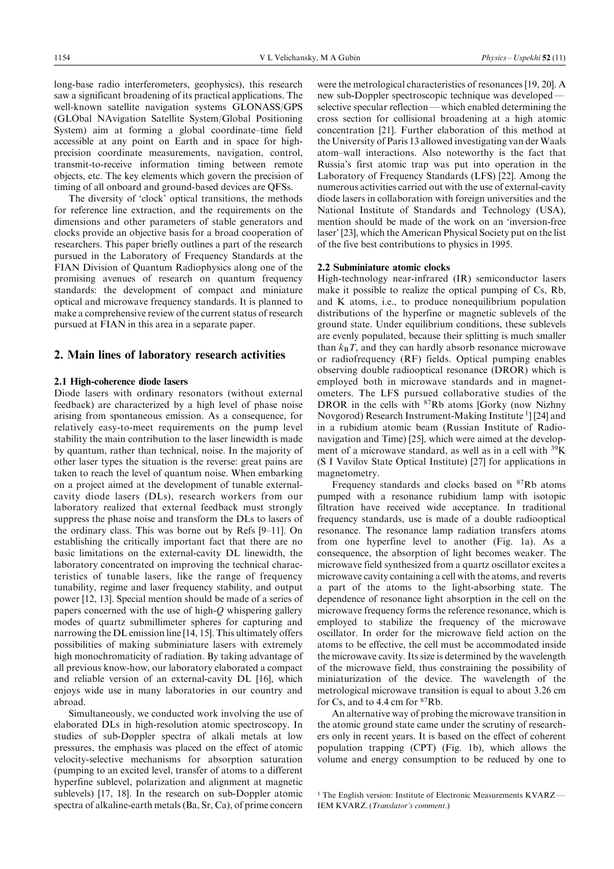long-base radio interferometers, geophysics), this research saw a significant broadening of its practical applications. The well-known satellite navigation systems GLONASS/GPS (GLObal NAvigation Satellite System/Global Positioning System) aim at forming a global coordinate-time field accessible at any point on Earth and in space for highprecision coordinate measurements, navigation, control, transmit-to-receive information timing between remote objects, etc. The key elements which govern the precision of timing of all onboard and ground-based devices are QFSs.

The diversity of 'clock' optical transitions, the methods for reference line extraction, and the requirements on the dimensions and other parameters of stable generators and clocks provide an objective basis for a broad cooperation of researchers. This paper briefly outlines a part of the research pursued in the Laboratory of Frequency Standards at the FIAN Division of Quantum Radiophysics along one of the promising avenues of research on quantum frequency standards: the development of compact and miniature optical and microwave frequency standards. It is planned to make a comprehensive review of the current status of research pursued at FIAN in this area in a separate paper.

# 2. Main lines of laboratory research activities

#### 2.1 High-coherence diode lasers

Diode lasers with ordinary resonators (without external feedback) are characterized by a high level of phase noise arising from spontaneous emission. As a consequence, for relatively easy-to-meet requirements on the pump level stability the main contribution to the laser linewidth is made by quantum, rather than technical, noise. In the majority of other laser types the situation is the reverse: great pains are taken to reach the level of quantum noise. When embarking on a project aimed at the development of tunable externalcavity diode lasers (DLs), research workers from our laboratory realized that external feedback must strongly suppress the phase noise and transform the DLs to lasers of the ordinary class. This was borne out by Refs  $[9-11]$ . On establishing the critically important fact that there are no basic limitations on the external-cavity DL linewidth, the laboratory concentrated on improving the technical characteristics of tunable lasers, like the range of frequency tunability, regime and laser frequency stability, and output power [12, 13]. Special mention should be made of a series of papers concerned with the use of high- $Q$  whispering gallery modes of quartz submillimeter spheres for capturing and narrowing the DL emission line [14, 15]. This ultimately offers possibilities of making subminiature lasers with extremely high monochromaticity of radiation. By taking advantage of all previous know-how, our laboratory elaborated a compact and reliable version of an external-cavity DL [16], which enjoys wide use in many laboratories in our country and abroad.

Simultaneously, we conducted work involving the use of elaborated DLs in high-resolution atomic spectroscopy. In studies of sub-Doppler spectra of alkali metals at low pressures, the emphasis was placed on the effect of atomic velocity-selective mechanisms for absorption saturation (pumping to an excited level, transfer of atoms to a different hyperfine sublevel, polarization and alignment at magnetic sublevels) [17, 18]. In the research on sub-Doppler atomic spectra of alkaline-earth metals(Ba, Sr, Ca), of prime concern

were the metrological characteristics of resonances [19, 20]. A new sub-Doppler spectroscopic technique was developed – selective specular reflection — which enabled determining the cross section for collisional broadening at a high atomic concentration [21]. Further elaboration of this method at the University of Paris 13 allowed investigating van der Waals atom-wall interactions. Also noteworthy is the fact that Russia's first atomic trap was put into operation in the Laboratory of Frequency Standards (LFS) [22]. Among the numerous activities carried out with the use of external-cavity diode lasers in collaboration with foreign universities and the National Institute of Standards and Technology (USA), mention should be made of the work on an `inversion-free laser' [23], which the American Physical Society put on the list of the five best contributions to physics in 1995.

#### 2.2 Subminiature atomic clocks

High-technology near-infrared (IR) semiconductor lasers make it possible to realize the optical pumping of Cs, Rb, and K atoms, i.e., to produce nonequilibrium population distributions of the hyperfine or magnetic sublevels of the ground state. Under equilibrium conditions, these sublevels are evenly populated, because their splitting is much smaller than  $k_B T$ , and they can hardly absorb resonance microwave or radiofrequency (RF) fields. Optical pumping enables observing double radiooptical resonance (DROR) which is employed both in microwave standards and in magnetometers. The LFS pursued collaborative studies of the DROR in the cells with <sup>87</sup>Rb atoms [Gorky (now Nizhny Novgorod) Research Instrument-Making Institute <sup>1</sup>] [24] and in a rubidium atomic beam (Russian Institute of Radionavigation and Time) [25], which were aimed at the development of a microwave standard, as well as in a cell with 39K (S I Vavilov State Optical Institute) [27] for applications in magnetometry.

Frequency standards and clocks based on 87Rb atoms pumped with a resonance rubidium lamp with isotopic filtration have received wide acceptance. In traditional frequency standards, use is made of a double radiooptical resonance. The resonance lamp radiation transfers atoms from one hyperfine level to another (Fig. 1a). As a consequence, the absorption of light becomes weaker. The microwave field synthesized from a quartz oscillator excites a microwave cavity containing a cell with the atoms, and reverts a part of the atoms to the light-absorbing state. The dependence of resonance light absorption in the cell on the microwave frequency forms the reference resonance, which is employed to stabilize the frequency of the microwave oscillator. In order for the microwave field action on the atoms to be effective, the cell must be accommodated inside the microwave cavity. Its size is determined by the wavelength of the microwave field, thus constraining the possibility of miniaturization of the device. The wavelength of the metrological microwave transition is equal to about 3.26 cm for Cs, and to 4.4 cm for 87Rb.

An alternative way of probing the microwave transition in the atomic ground state came under the scrutiny of researchers only in recent years. It is based on the effect of coherent population trapping (CPT) (Fig. 1b), which allows the volume and energy consumption to be reduced by one to

<sup>&</sup>lt;sup>1</sup> The English version: Institute of Electronic Measurements KVARZ-IEM KVARZ. (Translator's comment.)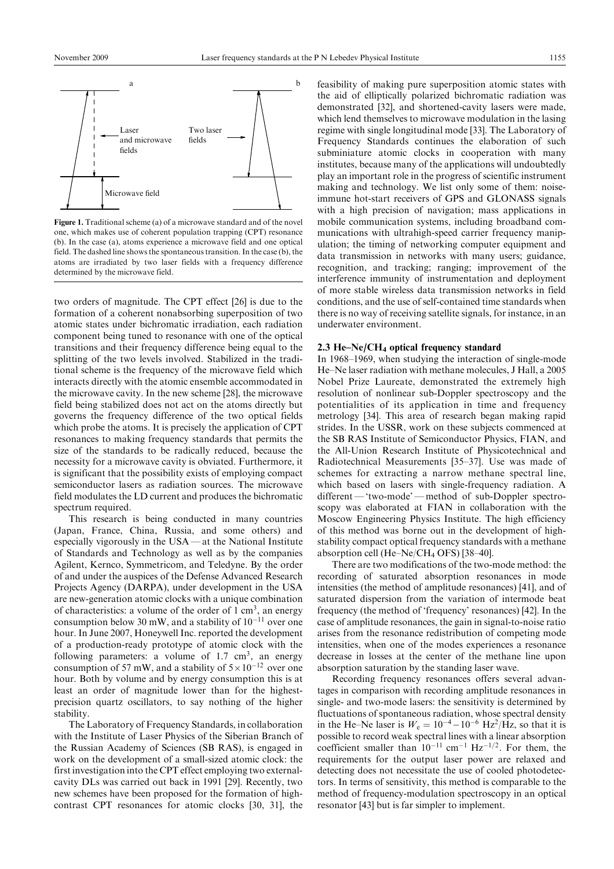

Figure 1. Traditional scheme (a) of a microwave standard and of the novel one, which makes use of coherent population trapping (CPT) resonance (b). In the case (a), atoms experience a microwave field and one optical field. The dashed line shows the spontaneous transition. In the case  $(b)$ , the atoms are irradiated by two laser fields with a frequency difference determined by the microwave field.

two orders of magnitude. The CPT effect [26] is due to the formation of a coherent nonabsorbing superposition of two atomic states under bichromatic irradiation, each radiation component being tuned to resonance with one of the optical transitions and their frequency difference being equal to the splitting of the two levels involved. Stabilized in the traditional scheme is the frequency of the microwave field which interacts directly with the atomic ensemble accommodated in the microwave cavity. In the new scheme [28], the microwave field being stabilized does not act on the atoms directly but governs the frequency difference of the two optical fields which probe the atoms. It is precisely the application of CPT resonances to making frequency standards that permits the size of the standards to be radically reduced, because the necessity for a microwave cavity is obviated. Furthermore, it is significant that the possibility exists of employing compact semiconductor lasers as radiation sources. The microwave field modulates the LD current and produces the bichromatic spectrum required.

This research is being conducted in many countries (Japan, France, China, Russia, and some others) and especially vigorously in the  $USA - at$  the National Institute of Standards and Technology as well as by the companies Agilent, Kernco, Symmetricom, and Teledyne. By the order of and under the auspices of the Defense Advanced Research Projects Agency (DARPA), under development in the USA are new-generation atomic clocks with a unique combination of characteristics: a volume of the order of  $1 \text{ cm}^3$ , an energy consumption below 30 mW, and a stability of  $10^{-11}$  over one hour. In June 2007, Honeywell Inc. reported the development of a production-ready prototype of atomic clock with the following parameters: a volume of  $1.7 \text{ cm}^3$ , an energy consumption of 57 mW, and a stability of  $5 \times 10^{-12}$  over one hour. Both by volume and by energy consumption this is at least an order of magnitude lower than for the highestprecision quartz oscillators, to say nothing of the higher stability.

The Laboratory of Frequency Standards, in collaboration with the Institute of Laser Physics of the Siberian Branch of the Russian Academy of Sciences (SB RAS), is engaged in work on the development of a small-sized atomic clock: the first investigation into the CPT effect employing two externalcavity DLs was carried out back in 1991 [29]. Recently, two new schemes have been proposed for the formation of highcontrast CPT resonances for atomic clocks [30, 31], the

feasibility of making pure superposition atomic states with the aid of elliptically polarized bichromatic radiation was demonstrated [32], and shortened-cavity lasers were made, which lend themselves to microwave modulation in the lasing regime with single longitudinal mode [33]. The Laboratory of Frequency Standards continues the elaboration of such subminiature atomic clocks in cooperation with many institutes, because many of the applications will undoubtedly play an important role in the progress of scientific instrument making and technology. We list only some of them: noiseimmune hot-start receivers of GPS and GLONASS signals with a high precision of navigation; mass applications in mobile communication systems, including broadband communications with ultrahigh-speed carrier frequency manipulation; the timing of networking computer equipment and data transmission in networks with many users; guidance, recognition, and tracking; ranging; improvement of the interference immunity of instrumentation and deployment of more stable wireless data transmission networks in field conditions, and the use of self-contained time standards when there is no way of receiving satellite signals, for instance, in an underwater environment.

# 2.3 He $-Ne/CH_4$  optical frequency standard

In 1968–1969, when studying the interaction of single-mode He-Ne laser radiation with methane molecules, J Hall, a 2005 Nobel Prize Laureate, demonstrated the extremely high resolution of nonlinear sub-Doppler spectroscopy and the potentialities of its application in time and frequency metrology [34]. This area of research began making rapid strides. In the USSR, work on these subjects commenced at the SB RAS Institute of Semiconductor Physics, FIAN, and the All-Union Research Institute of Physicotechnical and Radiotechnical Measurements [35-37]. Use was made of schemes for extracting a narrow methane spectral line, which based on lasers with single-frequency radiation. A different — 'two-mode' — method of sub-Doppler spectroscopy was elaborated at FIAN in collaboration with the Moscow Engineering Physics Institute. The high efficiency of this method was borne out in the development of highstability compact optical frequency standards with a methane absorption cell (He $-Ne/CH_4$  OFS) [38 $-40$ ].

There are two modifications of the two-mode method: the recording of saturated absorption resonances in mode intensities (the method of amplitude resonances) [41], and of saturated dispersion from the variation of intermode beat frequency (the method of 'frequency' resonances) [42]. In the case of amplitude resonances, the gain in signal-to-noise ratio arises from the resonance redistribution of competing mode intensities, when one of the modes experiences a resonance decrease in losses at the center of the methane line upon absorption saturation by the standing laser wave.

Recording frequency resonances offers several advantages in comparison with recording amplitude resonances in single- and two-mode lasers: the sensitivity is determined by fluctuations of spontaneous radiation, whose spectral density in the He-Ne laser is  $W_e = 10^{-4} - 10^{-6}$  Hz<sup>2</sup>/Hz, so that it is possible to record weak spectral lines with a linear absorption coefficient smaller than  $10^{-11}$  cm<sup>-1</sup> Hz<sup>-1/2</sup>. For them, the requirements for the output laser power are relaxed and detecting does not necessitate the use of cooled photodetectors. In terms of sensitivity, this method is comparable to the method of frequency-modulation spectroscopy in an optical resonator [43] but is far simpler to implement.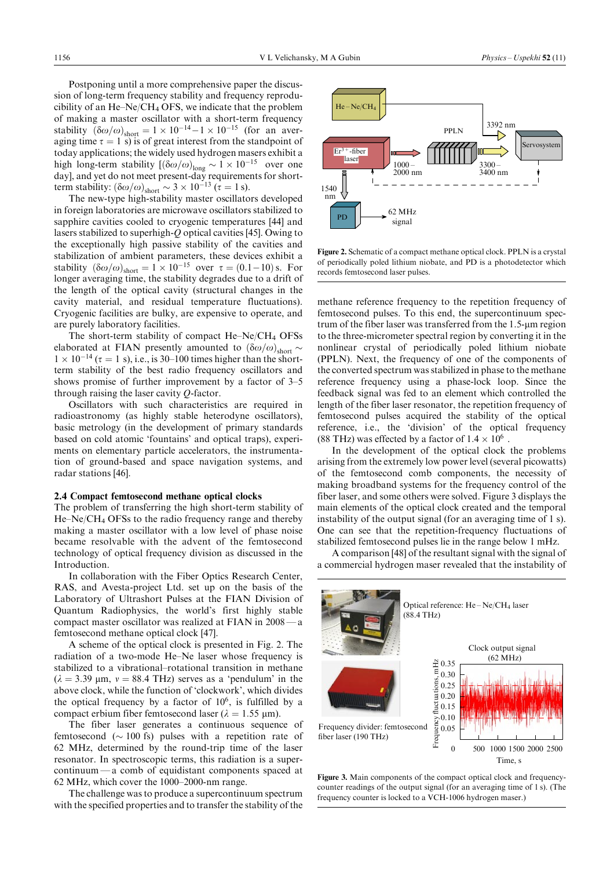Postponing until a more comprehensive paper the discussion of long-term frequency stability and frequency reproducibility of an He $-Ne/CH_4$  OFS, we indicate that the problem of making a master oscillator with a short-term frequency stability  $(\delta\omega/\omega)_{\text{short}} = 1 \times 10^{-14} - 1 \times 10^{-15}$  (for an averaging time  $\tau = 1$  s) is of great interest from the standpoint of today applications; the widely used hydrogen masers exhibit a high long-term stability  $[(\delta \omega/\omega)_{\text{long}} \sim 1 \times 10^{-15}$  over one day], and yet do not meet present-day requirements for shortterm stability:  $(\delta \omega/\omega)_{\text{short}} \sim 3 \times 10^{-13}$  ( $\tau = 1$  s).

The new-type high-stability master oscillators developed in foreign laboratories are microwave oscillators stabilized to sapphire cavities cooled to cryogenic temperatures [44] and lasers stabilized to superhigh-Q optical cavities [45]. Owing to the exceptionally high passive stability of the cavities and stabilization of ambient parameters, these devices exhibit a stability  $(\delta\omega/\omega)_{\text{short}} = 1 \times 10^{-15}$  over  $\tau = (0.1 - 10)$  s. For longer averaging time, the stability degrades due to a drift of the length of the optical cavity (structural changes in the cavity material, and residual temperature fluctuations). Cryogenic facilities are bulky, are expensive to operate, and are purely laboratory facilities.

The short-term stability of compact  $He$ -Ne/CH<sub>4</sub> OFSs elaborated at FIAN presently amounted to  $(\delta\omega/\omega)_{\text{short}}$  $1 \times 10^{-14}$  ( $\tau = 1$  s), i.e., is 30–100 times higher than the shortterm stability of the best radio frequency oscillators and shows promise of further improvement by a factor of  $3-5$ through raising the laser cavity Q-factor.

Oscillators with such characteristics are required in radioastronomy (as highly stable heterodyne oscillators), basic metrology (in the development of primary standards based on cold atomic 'fountains' and optical traps), experiments on elementary particle accelerators, the instrumentation of ground-based and space navigation systems, and radar stations [46].

#### 2.4 Compact femtosecond methane optical clocks

The problem of transferring the high short-term stability of  $He-Ne/CH_4$  OFSs to the radio frequency range and thereby making a master oscillator with a low level of phase noise became resolvable with the advent of the femtosecond technology of optical frequency division as discussed in the Introduction.

In collaboration with the Fiber Optics Research Center, RAS, and Avesta-project Ltd. set up on the basis of the Laboratory of Ultrashort Pulses at the FIAN Division of Quantum Radiophysics, the world's first highly stable compact master oscillator was realized at FIAN in  $2008 - a$ femtosecond methane optical clock [47].

A scheme of the optical clock is presented in Fig. 2. The radiation of a two-mode He–Ne laser whose frequency is stabilized to a vibrational-rotational transition in methane  $(\lambda = 3.39 \text{ µm}, v = 88.4 \text{ THz})$  serves as a 'pendulum' in the above clock, while the function of `clockwork', which divides the optical frequency by a factor of  $10<sup>6</sup>$ , is fulfilled by a compact erbium fiber femtosecond laser ( $\lambda = 1.55$  µm).

The fiber laser generates a continuous sequence of femtosecond ( $\sim$  100 fs) pulses with a repetition rate of 62 MHz, determined by the round-trip time of the laser resonator. In spectroscopic terms, this radiation is a super $continuum - a$  comb of equidistant components spaced at 62 MHz, which cover the  $1000-2000$ -nm range.

The challenge wasto produce a supercontinuum spectrum with the specified properties and to transfer the stability of the



Figure 2. Schematic of a compact methane optical clock. PPLN is a crystal of periodically poled lithium niobate, and PD is a photodetector which records femtosecond laser pulses.

methane reference frequency to the repetition frequency of femtosecond pulses. To this end, the supercontinuum spectrum of the fiber laser was transferred from the 1.5-um region to the three-micrometer spectral region by converting it in the nonlinear crystal of periodically poled lithium niobate (PPLN). Next, the frequency of one of the components of the converted spectrum was stabilized in phase to the methane reference frequency using a phase-lock loop. Since the feedback signal was fed to an element which controlled the length of the fiber laser resonator, the repetition frequency of femtosecond pulses acquired the stability of the optical reference, i.e., the `division' of the optical frequency (88 THz) was effected by a factor of  $1.4 \times 10^6$ .

In the development of the optical clock the problems arising from the extremely low power level (several picowatts) of the femtosecond comb components, the necessity of making broadband systems for the frequency control of the fiber laser, and some others were solved. Figure 3 displays the main elements of the optical clock created and the temporal instability of the output signal (for an averaging time of 1 s). One can see that the repetition-frequency fluctuations of stabilized femtosecond pulses lie in the range below 1 mHz.

A comparison [48] of the resultant signal with the signal of a commercial hydrogen maser revealed that the instability of



Figure 3. Main components of the compact optical clock and frequencycounter readings of the output signal (for an averaging time of 1 s). (The frequency counter is locked to a VCH-1006 hydrogen maser.)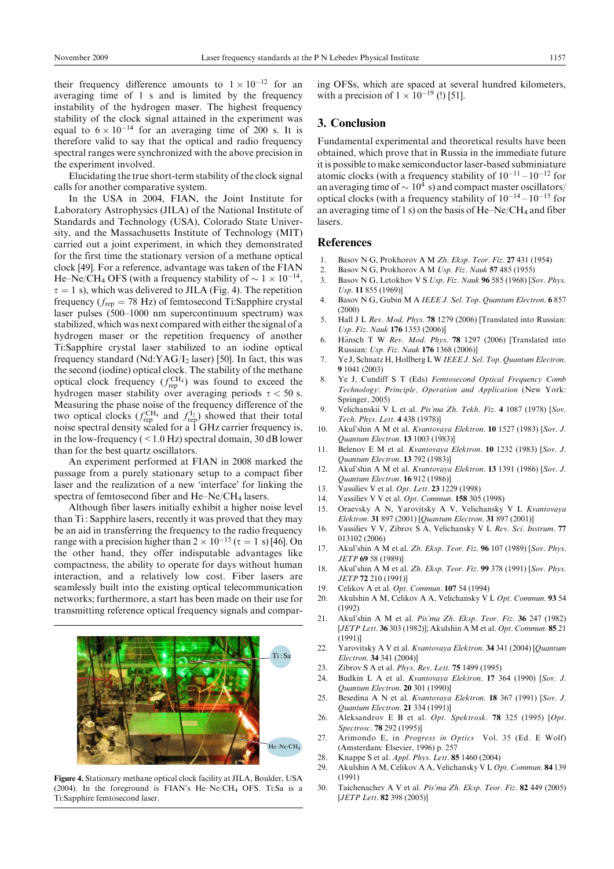their frequency difference amounts to  $1 \times 10^{-12}$  for an averaging time of 1 s and is limited by the frequency instability of the hydrogen maser. The highest frequency stability of the clock signal attained in the experiment was equal to  $6 \times 10^{-14}$  for an averaging time of 200 s. It is therefore valid to say that the optical and radio frequency spectral ranges were synchronized with the above precision in the experiment involved.

Elucidating the true short-term stability of the clock signal calls for another comparative system.

In the USA in 2004, FIAN, the Joint Institute for Laboratory Astrophysics (JILA) of the National Institute of Standards and Technology (USA), Colorado State University, and the Massachusetts Institute of Technology (MIT) carried out a joint experiment, in which they demonstrated for the first time the stationary version of a methane optical clock [49]. For a reference, advantage was taken of the FIAN He–Ne/CH<sub>4</sub> OFS (with a frequency stability of  $\sim 1 \times 10^{-14}$ ,  $\tau = 1$  s), which was delivered to JILA (Fig. 4). The repetition frequency ( $f_{\text{rep}}$  = 78 Hz) of femtosecond Ti:Sapphire crystal laser pulses (500-1000 nm supercontinuum spectrum) was stabilized, which was next compared with either the signal of a hydrogen maser or the repetition frequency of another Ti:Sapphire crystal laser stabilized to an iodine optical frequency standard (Nd:YAG/I<sub>2</sub> laser) [50]. In fact, this was the second (iodine) optical clock. The stability of the methane optical clock frequency  $(f_{\text{rep}}^{\text{CH}_4})$  was found to exceed the hydrogen maser stability over averaging periods  $\tau < 50$  s. Measuring the phase noise of the frequency difference of the two optical clocks ( $f_{\text{rep}}^{\text{CH}_4}$  and  $f_{\text{rep}}^{\text{I}_2}$ ) showed that their total noise spectral density scaled for a 1 GHz carrier frequency is, in the low-frequency  $(< 1.0$  Hz) spectral domain, 30 dB lower than for the best quartz oscillators.

An experiment performed at FIAN in 2008 marked the passage from a purely stationary setup to a compact fiber laser and the realization of a new `interface' for linking the spectra of femtosecond fiber and  $He$ -Ne/CH<sub>4</sub> lasers.

Although fiber lasers initially exhibit a higher noise level than Ti : Sapphire lasers, recently it was proved that they may be an aid in transferring the frequency to the radio frequency range with a precision higher than  $2 \times 10^{-15}$  ( $\tau = 1$  s) [46]. On the other hand, they offer indisputable advantages like compactness, the ability to operate for days without human interaction, and a relatively low cost. Fiber lasers are seamlessly built into the existing optical telecommunication networks; furthermore, a start has been made on their use for transmitting reference optical frequency signals and compar-



Figure 4. Stationary methane optical clock facility at JILA, Boulder, USA (2004). In the foreground is FIAN's He-Ne/CH<sub>4</sub> OFS. Ti:Sa is a Ti:Sapphire femtosecond laser.

ing OFSs, which are spaced at several hundred kilometers, with a precision of  $1 \times 10^{-19}$  (!) [51].

### 3. Conclusion

Fundamental experimental and theoretical results have been obtained, which prove that in Russia in the immediate future it is possible to make semiconductor laser-based subminiature atomic clocks (with a frequency stability of  $10^{-11} - 10^{-12}$  for an averaging time of  $\sim 10^4$  s) and compact master oscillators/ optical clocks (with a frequency stability of  $10^{-14} - 10^{-15}$  for an averaging time of 1 s) on the basis of  $He$ –Ne/CH<sub>4</sub> and fiber lasers.

#### References

- 1. Basov N G, Prokhorov A M Zh. Eksp. Teor. Fiz. 27 431 (1954)
- 2. Basov N G, Prokhorov A M Usp. Fiz. Nauk 57 485 (1955)
- 3. Basov N G, Letokhov V S Usp. Fiz. Nauk 96 585 (1968) [Sov. Phys. Usp. 11 855 (1969)]
- 4. Basov N G, Gubin M A IEEE J. Sel. Top. Quantum Electron. 6 857 (2000)
- 5. Hall J L Rev. Mod. Phys. 78 1279 (2006) [Translated into Russian: Usp. Fiz. Nauk 176 1353 (2006)]
- 6. Hansch T W Rev. Mod. Phys. 78 1297 (2006) [Translated into Russian: Usp. Fiz. Nauk 176 1368 (2006)]
- 7. Ye J, Schnatz H, Hollberg L W IEEE J. Sel. Top. Quantum Electron. 9 1041 (2003)
- 8. Ye J, Cundiff S T (Eds) Femtosecond Optical Frequency Comb Technology: Principle, Operation and Application (New York: Springer, 2005)
- 9. Velichanskii V L et al. Pis'ma Zh. Tekh. Fiz. 4 1087 (1978) [Sov. Tech. Phys. Lett. 4 438 (1978)]
- 10. Akul'shin A M et al. Kvantovaya Elektron. 10 1527 (1983) [Sov. J. Quantum Electron. 13 1003 (1983)]
- 11. Belenov E M et al. Kvantovaya Elektron. 10 1232 (1983) [Sov. J. Quantum Electron. 13 792 (1983)]
- 12. Akul'shin A M et al. Kvantovaya Elektron. 13 1391 (1986) [Sov. J. Quantum Electron. 16 912 (1986)]
- 13. Vassiliev V et al. Opt. Lett. 23 1229 (1998)
- 14. Vassiliev V V et al. Opt. Commun. 158 305 (1998)
- 15. Oraevsky A N, Yarovitsky A V, Velichansky V L Kvantovaya Elektron. 31 897 (2001) [Quantum Electron. 31 897 (2001)]
- 16. Vassiliev V V, Zibrov S A, Velichansky V L Rev. Sci. Instrum. 77 013102 (2006)
- 17. Akul'shin A M et al. Zh. Eksp. Teor. Fiz. 96 107 (1989) [Sov. Phys. JETP 69 58 (1989)]
- 18. Akul'shin A M et al. Zh. Eksp. Teor. Fiz. 99 378 (1991) [Sov. Phys. JETP 72 210 (1991)]
- 19. Celikov A et al. Opt. Commun. 107 54 (1994)
- 20. Akulshin A M, Celikov A A, Velichansky V L Opt. Commun. 93 54 (1992)
- 21. Akul'shin A M et al. Pis'ma Zh. Eksp. Teor. Fiz. 36 247 (1982) [*JETP Lett.* **36** 303 (1982)]; Akulshin A M et al. *Opt. Commun.* 85 21 (1991)]
- 22. Yarovitsky A V et al. Kvantovaya Elektron. 34 341 (2004) [Quantum Electron. 34 341 (2004)]
- 23. Zibrov S A et al. Phys. Rev. Lett. 75 1499 (1995)
- 24. Budkin L A et al. Kvantovaya Elektron. 17 364 (1990) [Sov. J. Quantum Electron. 20 301 (1990)]
- 25. Besedina A N et al. Kvantovaya Elektron. 18 367 (1991) [Sov. J. Quantum Electron. 21 334 (1991)]
- 26. Aleksandrov E B et al. Opt. Spektrosk. 78 325 (1995) [Opt. Spectrosc. **78** 292 (1995)]
- 27. Arimondo E, in Progress in Optics Vol. 35 (Ed. E Wolf) (Amsterdam: Elsevier, 1996) p. 257
- 28. Knappe S et al. Appl. Phys. Lett. 85 1460 (2004)
- 29. Akulshin A M, Celikov A A, Velichansky V L Opt. Commun. 84 139 (1991)
- 30. Taichenachev A V et al. Pis'ma Zh. Eksp. Teor. Fiz. 82 449 (2005) [*JETP Lett.* **82** 398 (2005)]